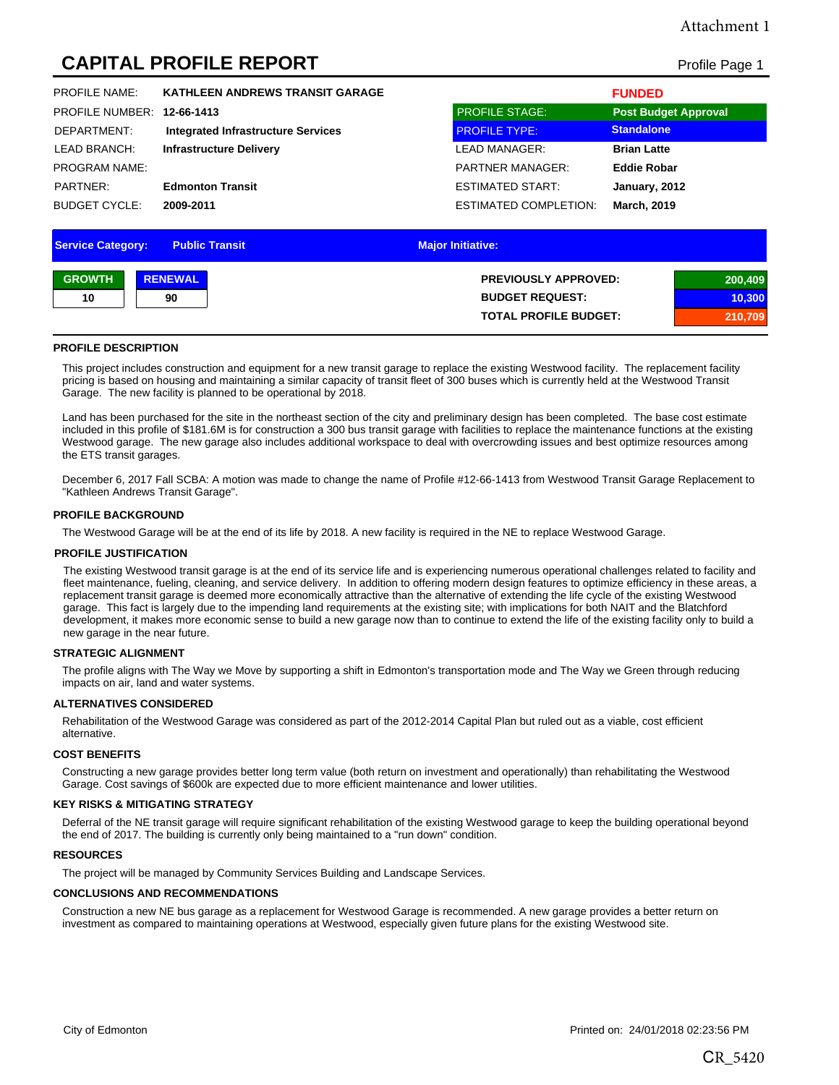# Attachment 1

# **CAPITAL PROFILE REPORT** Profile Page 1

| <b>PROFILE NAME:</b>       | <b>KATHLEEN ANDREWS TRANSIT GARAGE</b>    |                         | <b>FUNDED</b>               |
|----------------------------|-------------------------------------------|-------------------------|-----------------------------|
| PROFILE NUMBER: 12-66-1413 |                                           | <b>PROFILE STAGE:</b>   | <b>Post Budget Approval</b> |
| DEPARTMENT:                | <b>Integrated Infrastructure Services</b> | <b>PROFILE TYPE:</b>    | <b>Standalone</b>           |
| LEAD BRANCH:               | <b>Infrastructure Delivery</b>            | LEAD MANAGER:           | <b>Brian Latte</b>          |
| <b>PROGRAM NAME:</b>       |                                           | <b>PARTNER MANAGER:</b> | <b>Eddie Robar</b>          |
| PARTNER:                   | <b>Edmonton Transit</b>                   | ESTIMATED START.        | January, 2012               |
| <b>BUDGET CYCLE:</b>       | 2009-2011                                 | ESTIMATED COMPLETION:   | <b>March, 2019</b>          |
|                            |                                           |                         |                             |

| <b>Service Category:</b> |                | <b>Public Transit</b><br><b>Major Initiative:</b> |         |
|--------------------------|----------------|---------------------------------------------------|---------|
| <b>GROWTH</b>            | <b>RENEWAL</b> | <b>PREVIOUSLY APPROVED:</b>                       | 200,409 |
| 10                       | 90             | <b>BUDGET REQUEST:</b>                            | 10,300  |
|                          |                | <b>TOTAL PROFILE BUDGET:</b>                      | 210,709 |

#### **PROFILE DESCRIPTION**

This project includes construction and equipment for a new transit garage to replace the existing Westwood facility. The replacement facility pricing is based on housing and maintaining a similar capacity of transit fleet of 300 buses which is currently held at the Westwood Transit Garage. The new facility is planned to be operational by 2018.

Land has been purchased for the site in the northeast section of the city and preliminary design has been completed. The base cost estimate included in this profile of \$181.6M is for construction a 300 bus transit garage with facilities to replace the maintenance functions at the existing Westwood garage. The new garage also includes additional workspace to deal with overcrowding issues and best optimize resources among the ETS transit garages.

December 6, 2017 Fall SCBA: A motion was made to change the name of Profile #12-66-1413 from Westwood Transit Garage Replacement to "Kathleen Andrews Transit Garage".

#### **PROFILE BACKGROUND**

The Westwood Garage will be at the end of its life by 2018. A new facility is required in the NE to replace Westwood Garage.

#### **PROFILE JUSTIFICATION**

The existing Westwood transit garage is at the end of its service life and is experiencing numerous operational challenges related to facility and fleet maintenance, fueling, cleaning, and service delivery. In addition to offering modern design features to optimize efficiency in these areas, a replacement transit garage is deemed more economically attractive than the alternative of extending the life cycle of the existing Westwood garage. This fact is largely due to the impending land requirements at the existing site; with implications for both NAIT and the Blatchford development, it makes more economic sense to build a new garage now than to continue to extend the life of the existing facility only to build a new garage in the near future.

#### **STRATEGIC ALIGNMENT**

The profile aligns with The Way we Move by supporting a shift in Edmonton's transportation mode and The Way we Green through reducing impacts on air, land and water systems.

#### **ALTERNATIVES CONSIDERED**

Rehabilitation of the Westwood Garage was considered as part of the 2012-2014 Capital Plan but ruled out as a viable, cost efficient alternative.

#### **COST BENEFITS**

Constructing a new garage provides better long term value (both return on investment and operationally) than rehabilitating the Westwood Garage. Cost savings of \$600k are expected due to more efficient maintenance and lower utilities.

#### **KEY RISKS & MITIGATING STRATEGY**

Deferral of the NE transit garage will require significant rehabilitation of the existing Westwood garage to keep the building operational beyond the end of 2017. The building is currently only being maintained to a "run down" condition.

#### **RESOURCES**

The project will be managed by Community Services Building and Landscape Services.

### **CONCLUSIONS AND RECOMMENDATIONS**

Construction a new NE bus garage as a replacement for Westwood Garage is recommended. A new garage provides a better return on investment as compared to maintaining operations at Westwood, especially given future plans for the existing Westwood site.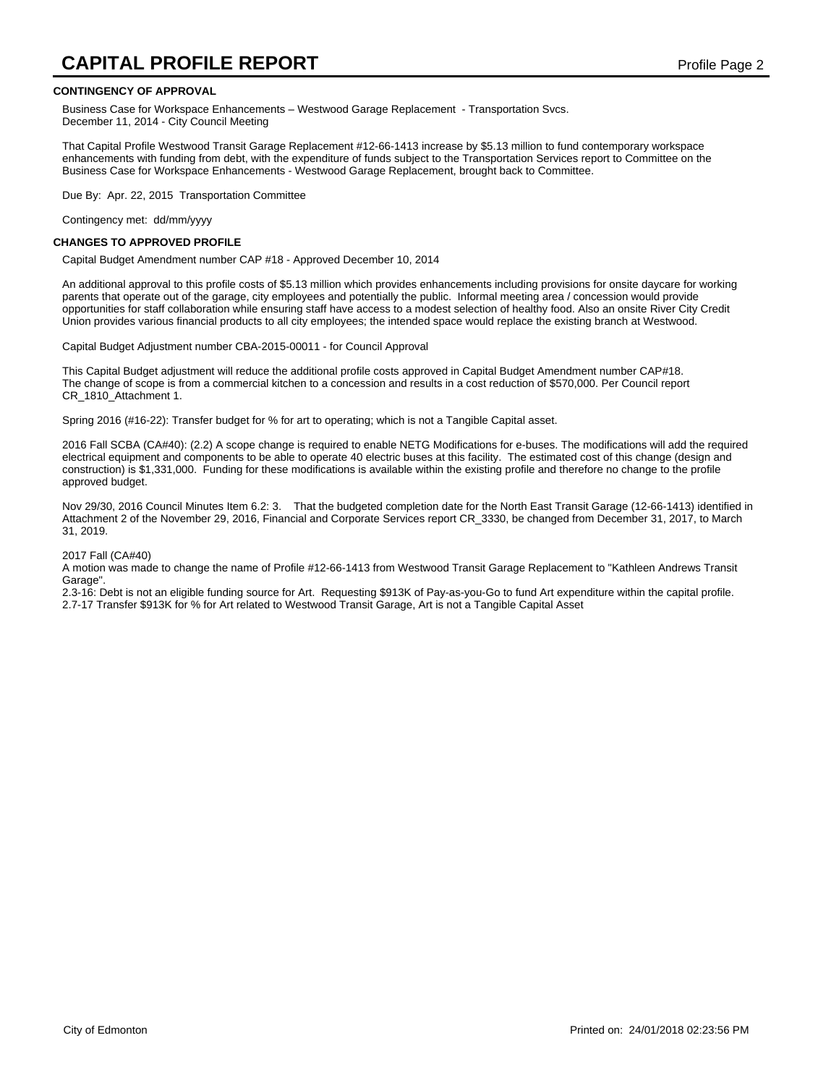# **CAPITAL PROFILE REPORT** Profile Page 2

#### **CONTINGENCY OF APPROVAL**

Business Case for Workspace Enhancements - Westwood Garage Replacement - Transportation Svcs. December 11, 2014 - City Council Meeting

That Capital Profile Westwood Transit Garage Replacement #12-66-1413 increase by \$5.13 million to fund contemporary workspace enhancements with funding from debt, with the expenditure of funds subject to the Transportation Services report to Committee on the Business Case for Workspace Enhancements - Westwood Garage Replacement, brought back to Committee.

Due By: Apr. 22, 2015 Transportation Committee

Contingency met: dd/mm/yyyy

#### **CHANGES TO APPROVED PROFILE**

Capital Budget Amendment number CAP #18 - Approved December 10, 2014

An additional approval to this profile costs of \$5.13 million which provides enhancements including provisions for onsite daycare for working parents that operate out of the garage, city employees and potentially the public. Informal meeting area / concession would provide opportunities for staff collaboration while ensuring staff have access to a modest selection of healthy food. Also an onsite River City Credit Union provides various financial products to all city employees; the intended space would replace the existing branch at Westwood.

Capital Budget Adjustment number CBA-2015-00011 - for Council Approval

This Capital Budget adjustment will reduce the additional profile costs approved in Capital Budget Amendment number CAP#18. The change of scope is from a commercial kitchen to a concession and results in a cost reduction of \$570,000. Per Council report CR\_1810\_Attachment 1.

Spring 2016 (#16-22): Transfer budget for % for art to operating; which is not a Tangible Capital asset.

2016 Fall SCBA (CA#40): (2.2) A scope change is required to enable NETG Modifications for e-buses. The modifications will add the required electrical equipment and components to be able to operate 40 electric buses at this facility. The estimated cost of this change (design and construction) is \$1,331,000. Funding for these modifications is available within the existing profile and therefore no change to the profile approved budget.

Nov 29/30, 2016 Council Minutes Item 6.2: 3. That the budgeted completion date for the North East Transit Garage (12-66-1413) identified in Attachment 2 of the November 29, 2016, Financial and Corporate Services report CR\_3330, be changed from December 31, 2017, to March 31, 2019.

#### 2017 Fall (CA#40)

A motion was made to change the name of Profile #12-66-1413 from Westwood Transit Garage Replacement to "Kathleen Andrews Transit Garage".

2.3-16: Debt is not an eligible funding source for Art. Requesting \$913K of Pay-as-you-Go to fund Art expenditure within the capital profile. 2.7-17 Transfer \$913K for % for Art related to Westwood Transit Garage, Art is not a Tangible Capital Asset